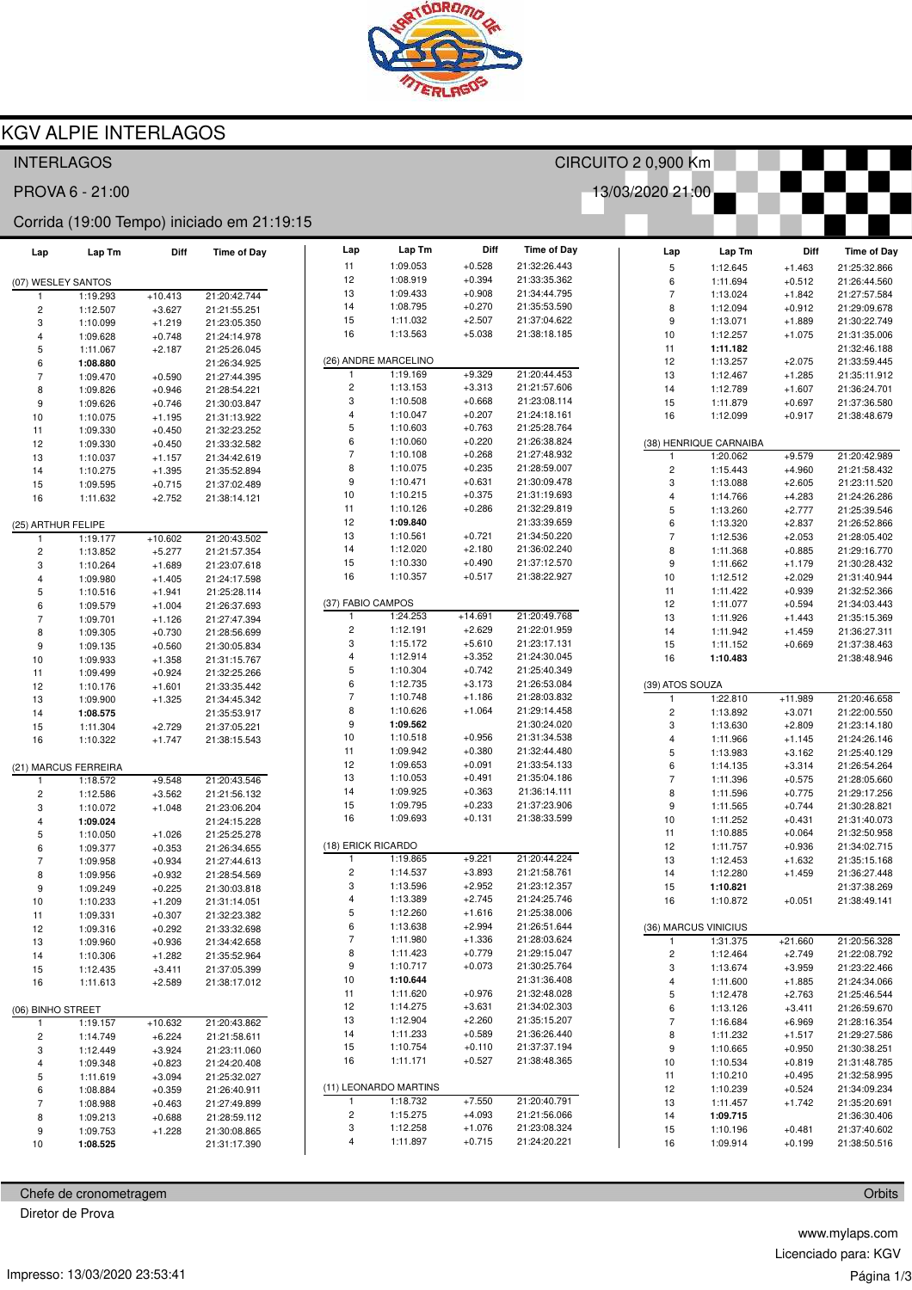

## **KGV ALPIE INTERLAGOS**

| <b>INTERLAGOS</b>                          |                      |                      |                              |  |                         |                       |                      |                              | CIRCUITO 2 0,900 Km      |                        |                      |                              |
|--------------------------------------------|----------------------|----------------------|------------------------------|--|-------------------------|-----------------------|----------------------|------------------------------|--------------------------|------------------------|----------------------|------------------------------|
|                                            | PROVA 6 - 21:00      |                      |                              |  |                         |                       |                      |                              | 13/03/2020 21:00         |                        |                      |                              |
| Corrida (19:00 Tempo) iniciado em 21:19:15 |                      |                      |                              |  |                         |                       |                      |                              |                          |                        |                      |                              |
| Lap                                        | Lap Tm               | Diff                 | <b>Time of Day</b>           |  | Lap                     | Lap Tm                | Diff                 | <b>Time of Day</b>           | Lap                      | Lap Tm                 | Diff                 | <b>Time of Day</b>           |
|                                            |                      |                      |                              |  | 11                      | 1:09.053              | $+0.528$             | 21:32:26.443                 | 5                        | 1:12.645               | $+1.463$             | 21:25:32.866                 |
| (07) WESLEY SANTOS                         |                      |                      |                              |  | 12                      | 1:08.919              | $+0.394$             | 21:33:35.362                 | 6                        | 1:11.694               | $+0.512$             | 21:26:44.560                 |
|                                            | 1:19.293             | $+10.413$            | 21:20:42.744                 |  | 13                      | 1:09.433              | $+0.908$             | 21:34:44.795                 | $\overline{\mathcal{I}}$ | 1:13.024               | $+1.842$             | 21:27:57.584                 |
| $\overline{\mathbf{c}}$                    | 1:12.507             | $+3.627$             | 21:21:55.251                 |  | 14<br>15                | 1:08.795<br>1:11.032  | $+0.270$<br>$+2.507$ | 21:35:53.590<br>21:37:04.622 | 8                        | 1:12.094               | $+0.912$             | 21:29:09.678                 |
| 3                                          | 1:10.099             | $+1.219$             | 21:23:05.350                 |  | 16                      | 1:13.563              | $+5.038$             | 21:38:18.185                 | 9<br>10                  | 1:13.071               | $+1.889$             | 21:30:22.749                 |
| 4<br>5                                     | 1:09.628             | $+0.748$             | 21:24:14.978                 |  |                         |                       |                      |                              | 11                       | 1:12.257<br>1:11.182   | $+1.075$             | 21:31:35.006<br>21:32:46.188 |
| 6                                          | 1:11.067<br>1:08.880 | $+2.187$             | 21:25:26.045<br>21:26:34.925 |  |                         | (26) ANDRE MARCELINO  |                      |                              | 12                       | 1:13.257               | $+2.075$             | 21:33:59.445                 |
| $\overline{\mathcal{I}}$                   | 1:09.470             | $+0.590$             | 21:27:44.395                 |  | 1                       | 1:19.169              | $+9.329$             | 21:20:44.453                 | 13                       | 1:12.467               | $+1.285$             | 21:35:11.912                 |
| 8                                          | 1:09.826             | $+0.946$             | 21:28:54.221                 |  | $\overline{\mathbf{c}}$ | 1:13.153              | $+3.313$             | 21:21:57.606                 | 14                       | 1:12.789               | $+1.607$             | 21:36:24.701                 |
| 9                                          | 1:09.626             | $+0.746$             | 21:30:03.847                 |  | 3                       | 1:10.508              | $+0.668$             | 21:23:08.114                 | 15                       | 1:11.879               | $+0.697$             | 21:37:36.580                 |
| 10                                         | 1:10.075             | $+1.195$             | 21:31:13.922                 |  | 4                       | 1:10.047              | $+0.207$             | 21:24:18.161                 | 16                       | 1:12.099               | $+0.917$             | 21:38:48.679                 |
| 11                                         | 1:09.330             | $+0.450$             | 21:32:23.252                 |  | 5                       | 1:10.603              | $+0.763$             | 21:25:28.764                 |                          |                        |                      |                              |
| 12                                         | 1:09.330             | $+0.450$             | 21:33:32.582                 |  | 6                       | 1:10.060              | $+0.220$             | 21:26:38.824                 |                          | (38) HENRIQUE CARNAIBA |                      |                              |
| 13                                         | 1:10.037             | $+1.157$             | 21:34:42.619                 |  | $\overline{7}$          | 1:10.108              | $+0.268$             | 21:27:48.932                 | 1                        | 1:20.062               | $+9.579$             | 21:20:42.989                 |
| 14                                         | 1:10.275             | $+1.395$             | 21:35:52.894                 |  | 8                       | 1:10.075              | $+0.235$             | 21:28:59.007                 | 2                        | 1:15.443               | $+4.960$             | 21:21:58.432                 |
| 15                                         | 1:09.595             | $+0.715$             | 21:37:02.489                 |  | 9                       | 1:10.471              | $+0.631$             | 21:30:09.478                 | 3                        | 1:13.088               | $+2.605$             | 21:23:11.520                 |
| 16                                         | 1:11.632             | $+2.752$             | 21:38:14.121                 |  | 10                      | 1:10.215              | $+0.375$             | 21:31:19.693                 | 4                        | 1:14.766               | $+4.283$             | 21:24:26.286                 |
|                                            |                      |                      |                              |  | 11                      | 1:10.126              | $+0.286$             | 21:32:29.819                 | 5                        | 1:13.260               | $+2.777$             | 21:25:39.546                 |
| (25) ARTHUR FELIPE                         |                      |                      |                              |  | 12                      | 1:09.840              |                      | 21:33:39.659                 | 6                        | 1:13.320               | $+2.837$             | 21:26:52.866                 |
| $\mathbf{1}$                               | 1:19.177             | $+10.602$            | 21:20:43.502                 |  | 13                      | 1:10.561              | $+0.721$<br>$+2.180$ | 21:34:50.220                 | $\overline{7}$           | 1:12.536               | $+2.053$             | 21:28:05.402                 |
| 2                                          | 1:13.852             | $+5.277$             | 21:21:57.354                 |  | 14<br>15                | 1:12.020<br>1:10.330  | $+0.490$             | 21:36:02.240<br>21:37:12.570 | 8                        | 1:11.368               | $+0.885$             | 21:29:16.770                 |
| 3                                          | 1:10.264             | $+1.689$             | 21:23:07.618                 |  | 16                      | 1:10.357              | $+0.517$             | 21:38:22.927                 | 9<br>10                  | 1:11.662               | $+1.179$             | 21:30:28.432<br>21:31:40.944 |
| 4                                          | 1:09.980             | $+1.405$             | 21:24:17.598<br>21:25:28.114 |  |                         |                       |                      |                              | 11                       | 1:12.512<br>1:11.422   | $+2.029$<br>$+0.939$ | 21:32:52.366                 |
| 5                                          | 1:10.516<br>1:09.579 | $+1.941$             |                              |  |                         | (37) FABIO CAMPOS     |                      |                              | 12                       | 1:11.077               | $+0.594$             | 21:34:03.443                 |
| 6<br>7                                     | 1:09.701             | $+1.004$<br>$+1.126$ | 21:26:37.693<br>21:27:47.394 |  |                         | 1:24.253              | $+14.691$            | 21:20:49.768                 | 13                       | 1:11.926               | $+1.443$             | 21:35:15.369                 |
| 8                                          | 1:09.305             | $+0.730$             | 21:28:56.699                 |  | $\overline{\mathbf{c}}$ | 1:12.191              | $+2.629$             | 21:22:01.959                 | 14                       | 1:11.942               | $+1.459$             | 21:36:27.311                 |
| 9                                          | 1:09.135             | $+0.560$             | 21:30:05.834                 |  | 3                       | 1:15.172              | $+5.610$             | 21:23:17.131                 | 15                       | 1:11.152               | $+0.669$             | 21:37:38.463                 |
| 10                                         | 1:09.933             | $+1.358$             | 21:31:15.767                 |  | 4                       | 1:12.914              | $+3.352$             | 21:24:30.045                 | 16                       | 1:10.483               |                      | 21:38:48.946                 |
| 11                                         | 1:09.499             | $+0.924$             | 21:32:25.266                 |  | 5                       | 1:10.304              | $+0.742$             | 21:25:40.349                 |                          |                        |                      |                              |
| 12                                         | 1:10.176             | $+1.601$             | 21:33:35.442                 |  | 6                       | 1:12.735              | $+3.173$             | 21:26:53.084                 | (39) ATOS SOUZA          |                        |                      |                              |
| 13                                         | 1:09.900             | $+1.325$             | 21:34:45.342                 |  | $\overline{7}$          | 1:10.748              | $+1.186$             | 21:28:03.832                 | 1                        | 1:22.810               | $+11.989$            | 21:20:46.658                 |
| 14                                         | 1:08.575             |                      | 21:35:53.917                 |  | 8                       | 1:10.626              | $+1.064$             | 21:29:14.458                 | 2                        | 1:13.892               | $+3.071$             | 21:22:00.550                 |
| 15                                         | 1:11.304             | $+2.729$             | 21:37:05.221                 |  | 9                       | 1:09.562              |                      | 21:30:24.020                 | 3                        | 1:13.630               | $+2.809$             | 21:23:14.180                 |
| 16                                         | 1:10.322             | $+1.747$             | 21:38:15.543                 |  | 10                      | 1:10.518              | $+0.956$             | 21:31:34.538                 | 4                        | 1:11.966               | $+1.145$             | 21:24:26.146                 |
|                                            |                      |                      |                              |  | 11                      | 1:09.942              | $+0.380$             | 21:32:44.480                 | 5                        | 1:13.983               | $+3.162$             | 21:25:40.129                 |
|                                            | (21) MARCUS FERREIRA |                      |                              |  | 12                      | 1:09.653              | $+0.091$             | 21:33:54.133                 | 6                        | 1:14.135               | $+3.314$             | 21:26:54.264                 |
| 1                                          | 1:18.572             | $+9.548$             | 21:20:43.546                 |  | 13                      | 1:10.053              | $+0.491$             | 21:35:04.186                 | $\overline{7}$           | 1:11.396               | $+0.575$             | 21:28:05.660                 |
| 2                                          | 1:12.586             | $+3.562$             | 21:21:56.132                 |  | 14<br>15                | 1:09.925<br>1:09.795  | $+0.363$<br>$+0.233$ | 21:36:14.111<br>21:37:23.906 | 8                        | 1:11.596               | $+0.775$             | 21:29:17.256                 |
| 3                                          | 1:10.072             | $+1.048$             | 21:23:06.204                 |  | 16                      | 1:09.693              | $+0.131$             | 21:38:33.599                 | 9<br>10                  | 1:11.565<br>1:11.252   | $+0.744$             | 21:30:28.821<br>21:31:40.073 |
| 4<br>5                                     | 1:09.024             |                      | 21:24:15.228                 |  |                         |                       |                      |                              | 11                       | 1:10.885               | $+0.431$<br>$+0.064$ | 21:32:50.958                 |
|                                            | 1:10.050             | $+1.026$             | 21:25:25.278                 |  |                         | (18) ERICK RICARDO    |                      |                              | 12                       | 1:11.757               | $+0.936$             | 21:34:02.715                 |
| 6<br>$\overline{7}$                        | 1:09.377<br>1:09.958 | $+0.353$<br>$+0.934$ | 21:26:34.655<br>21:27:44.613 |  | $\mathbf{1}$            | 1:19.865              | $+9.221$             | 21:20:44.224                 | 13                       | 1:12.453               | $+1.632$             | 21:35:15.168                 |
| 8                                          | 1:09.956             | $+0.932$             | 21:28:54.569                 |  | $\overline{\mathbf{c}}$ | 1:14.537              | $+3.893$             | 21:21:58.761                 | 14                       | 1:12.280               | $+1.459$             | 21:36:27.448                 |
| 9                                          | 1:09.249             | $+0.225$             | 21:30:03.818                 |  | 3                       | 1:13.596              | $+2.952$             | 21:23:12.357                 | 15                       | 1:10.821               |                      | 21:37:38.269                 |
| 10                                         | 1:10.233             | $+1.209$             | 21:31:14.051                 |  | 4                       | 1:13.389              | $+2.745$             | 21:24:25.746                 | 16                       | 1:10.872               | $+0.051$             | 21:38:49.141                 |
| 11                                         | 1:09.331             | $+0.307$             | 21:32:23.382                 |  | 5                       | 1:12.260              | $+1.616$             | 21:25:38.006                 |                          |                        |                      |                              |
| 12                                         | 1:09.316             | $+0.292$             | 21:33:32.698                 |  | 6                       | 1:13.638              | $+2.994$             | 21:26:51.644                 |                          | (36) MARCUS VINICIUS   |                      |                              |
| 13                                         | 1:09.960             | $+0.936$             | 21:34:42.658                 |  | $\overline{7}$          | 1:11.980              | $+1.336$             | 21:28:03.624                 | $\mathbf{1}$             | 1:31.375               | $+21.660$            | 21:20:56.328                 |
| 14                                         | 1:10.306             | $+1.282$             | 21:35:52.964                 |  | 8                       | 1:11.423              | $+0.779$             | 21:29:15.047                 | $\overline{\mathbf{c}}$  | 1:12.464               | $+2.749$             | 21:22:08.792                 |
| 15                                         | 1:12.435             | $+3.411$             | 21:37:05.399                 |  | 9                       | 1:10.717              | $+0.073$             | 21:30:25.764                 | 3                        | 1:13.674               | $+3.959$             | 21:23:22.466                 |
| 16                                         | 1:11.613             | $+2.589$             | 21:38:17.012                 |  | 10                      | 1:10.644              |                      | 21:31:36.408                 | 4                        | 1:11.600               | $+1.885$             | 21:24:34.066                 |
|                                            |                      |                      |                              |  | 11                      | 1:11.620              | $+0.976$             | 21:32:48.028                 | 5                        | 1:12.478               | $+2.763$             | 21:25:46.544                 |
| (06) BINHO STREET                          |                      |                      |                              |  | 12                      | 1:14.275              | $+3.631$             | 21:34:02.303                 | 6                        | 1:13.126               | $+3.411$             | 21:26:59.670                 |
| $\mathbf{1}$                               | 1:19.157             | $+10.632$            | 21:20:43.862                 |  | 13                      | 1:12.904              | $+2.260$             | 21:35:15.207                 | $\boldsymbol{7}$         | 1:16.684               | $+6.969$             | 21:28:16.354                 |
| 2                                          | 1:14.749             | $+6.224$             | 21:21:58.611                 |  | 14                      | 1:11.233              | $+0.589$             | 21:36:26.440                 | 8                        | 1:11.232               | $+1.517$             | 21:29:27.586                 |
| 3                                          | 1:12.449             | $+3.924$             | 21:23:11.060                 |  | 15<br>16                | 1:10.754<br>1:11.171  | $+0.110$<br>$+0.527$ | 21:37:37.194<br>21:38:48.365 | 9                        | 1:10.665               | $+0.950$             | 21:30:38.251                 |
| 4                                          | 1:09.348             | $+0.823$             | 21:24:20.408                 |  |                         |                       |                      |                              | 10                       | 1:10.534               | $+0.819$             | 21:31:48.785                 |
| 5                                          | 1:11.619             | $+3.094$             | 21:25:32.027                 |  |                         | (11) LEONARDO MARTINS |                      |                              | 11<br>12                 | 1:10.210<br>1:10.239   | $+0.495$<br>$+0.524$ | 21:32:58.995<br>21:34:09.234 |
| 6<br>7                                     | 1:08.884<br>1:08.988 | $+0.359$<br>$+0.463$ | 21:26:40.911<br>21:27:49.899 |  | 1                       | 1:18.732              | $+7.550$             | 21:20:40.791                 | 13                       | 1:11.457               | $+1.742$             | 21:35:20.691                 |
| 8                                          | 1:09.213             | $+0.688$             | 21:28:59.112                 |  | 2                       | 1:15.275              | $+4.093$             | 21:21:56.066                 | 14                       | 1:09.715               |                      | 21:36:30.406                 |
| 9                                          | 1:09.753             | $+1.228$             | 21:30:08.865                 |  | 3                       | 1:12.258              | $+1.076$             | 21:23:08.324                 | 15                       | 1:10.196               | $+0.481$             | 21:37:40.602                 |
| 10                                         | 1:08.525             |                      | 21:31:17.390                 |  | 4                       | 1:11.897              | $+0.715$             | 21:24:20.221                 | 16                       | 1:09.914               | $+0.199$             | 21:38:50.516                 |
|                                            |                      |                      |                              |  |                         |                       |                      |                              |                          |                        |                      |                              |

Chefe de cronometragem

Diretor de Prova

www.mylaps.com Licenciado para: KGV Página 1/3

Orbits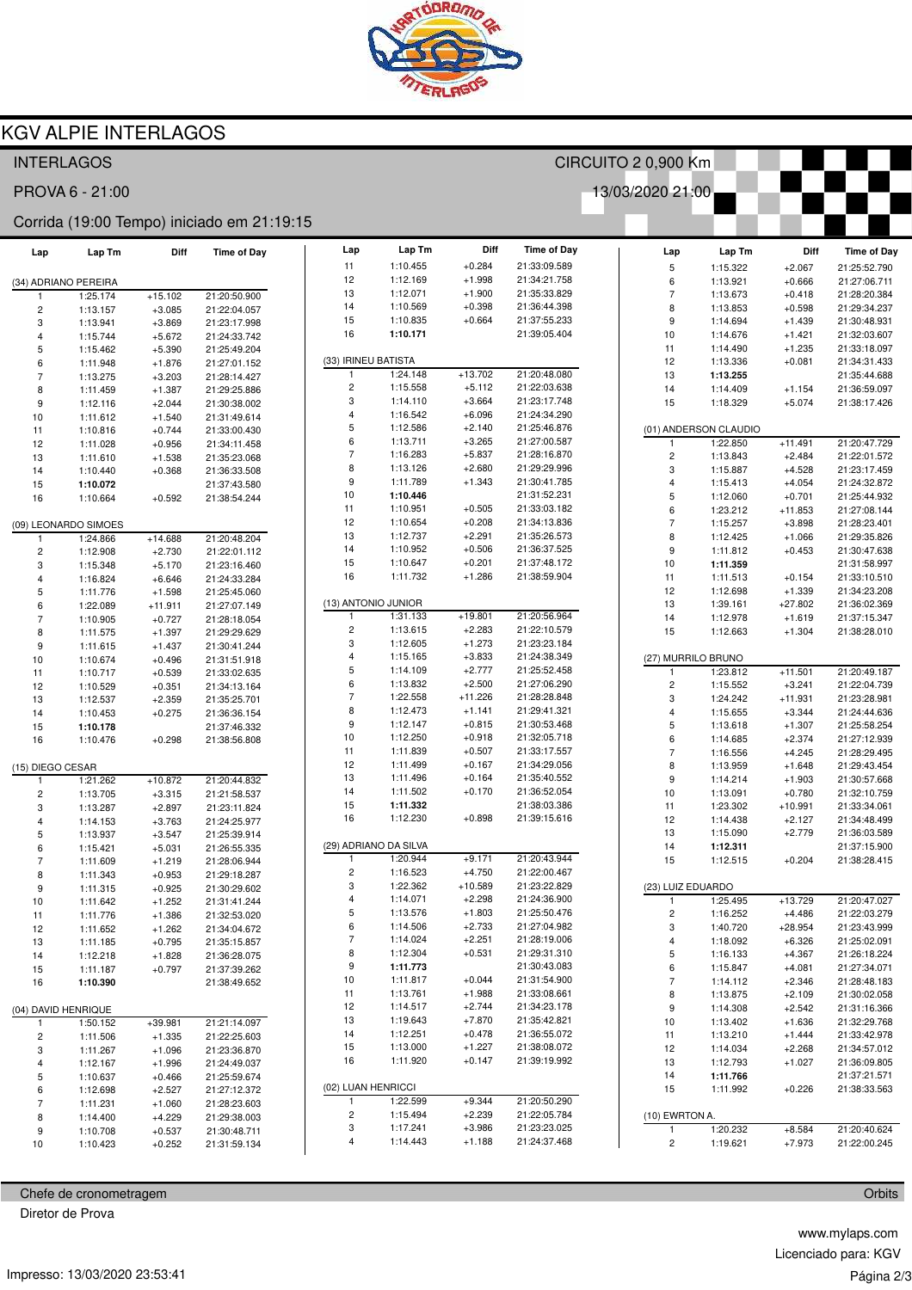

## **KGV ALPIE INTERLAGOS**

| <b>INTERLAGOS</b>        |                      |                       |                                            |                          |                       |                      |                              | CIRCUITO 2 0,900 Km     |                       |                       |                              |
|--------------------------|----------------------|-----------------------|--------------------------------------------|--------------------------|-----------------------|----------------------|------------------------------|-------------------------|-----------------------|-----------------------|------------------------------|
|                          | PROVA 6 - 21:00      |                       |                                            |                          |                       |                      |                              | 13/03/2020 21:00        |                       |                       |                              |
|                          |                      |                       | Corrida (19:00 Tempo) iniciado em 21:19:15 |                          |                       |                      |                              |                         |                       |                       |                              |
| Lap                      | Lap Tm               | Diff                  | <b>Time of Day</b>                         | Lap                      | Lap Tm                | Diff                 | <b>Time of Day</b>           | Lap                     | Lap Tm                | Diff                  | <b>Time of Day</b>           |
|                          |                      |                       |                                            | 11                       | 1:10.455              | $+0.284$             | 21:33:09.589                 | 5                       | 1:15.322              | $+2.067$              | 21:25:52.790                 |
| (34) ADRIANO PEREIRA     |                      |                       |                                            | 12                       | 1:12.169              | $+1.998$             | 21:34:21.758                 | 6                       | 1:13.921              | $+0.666$              | 21:27:06.711                 |
|                          | 1:25.174             | $+15.102$             | 21:20:50.900                               | 13                       | 1:12.071<br>1:10.569  | $+1.900$<br>$+0.398$ | 21:35:33.829                 | $\overline{7}$          | 1:13.673              | $+0.418$              | 21:28:20.384                 |
| $\overline{\mathbf{c}}$  | 1:13.157             | $+3.085$              | 21:22:04.057                               | 14<br>15                 | 1:10.835              | $+0.664$             | 21:36:44.398<br>21:37:55.233 | 8                       | 1:13.853              | $+0.598$              | 21:29:34.237                 |
| 3                        | 1:13.941             | $+3.869$              | 21:23:17.998                               | 16                       | 1:10.171              |                      | 21:39:05.404                 | 9<br>10                 | 1:14.694<br>1:14.676  | $+1.439$<br>$+1.421$  | 21:30:48.931<br>21:32:03.607 |
| 4<br>5                   | 1:15.744             | $+5.672$              | 21:24:33.742                               |                          |                       |                      |                              | 11                      | 1:14.490              | $+1.235$              | 21:33:18.097                 |
| 6                        | 1:15.462<br>1:11.948 | $+5.390$<br>$+1.876$  | 21:25:49.204<br>21:27:01.152               |                          | (33) IRINEU BATISTA   |                      |                              | 12                      | 1:13.336              | $+0.081$              | 21:34:31.433                 |
| $\overline{\mathcal{I}}$ | 1:13.275             | $+3.203$              | 21:28:14.427                               | 1                        | 1:24.148              | $+13.702$            | 21:20:48.080                 | 13                      | 1:13.255              |                       | 21:35:44.688                 |
| 8                        | 1:11.459             | $+1.387$              | 21:29:25.886                               | $\overline{\mathbf{c}}$  | 1:15.558              | $+5.112$             | 21:22:03.638                 | 14                      | 1:14.409              | $+1.154$              | 21:36:59.097                 |
| 9                        | 1:12.116             | $+2.044$              | 21:30:38.002                               | 3                        | 1:14.110              | $+3.664$             | 21:23:17.748                 | 15                      | 1:18.329              | $+5.074$              | 21:38:17.426                 |
| 10                       | 1:11.612             | $+1.540$              | 21:31:49.614                               | $\overline{\mathbf{4}}$  | 1:16.542              | $+6.096$             | 21:24:34.290                 |                         |                       |                       |                              |
| 11                       | 1:10.816             | $+0.744$              | 21:33:00.430                               | 5                        | 1:12.586              | $+2.140$             | 21:25:46.876                 |                         | (01) ANDERSON CLAUDIO |                       |                              |
| 12                       | 1:11.028             | $+0.956$              | 21:34:11.458                               | 6                        | 1:13.711              | $+3.265$             | 21:27:00.587                 | 1                       | 1:22.850              | $+11.491$             | 21:20:47.729                 |
| 13                       | 1:11.610             | $+1.538$              | 21:35:23.068                               | $\overline{\phantom{a}}$ | 1:16.283              | $+5.837$             | 21:28:16.870                 | $\overline{\mathbf{c}}$ | 1:13.843              | $+2.484$              | 21:22:01.572                 |
| 14                       | 1:10.440             | $+0.368$              | 21:36:33.508                               | 8                        | 1:13.126              | $+2.680$             | 21:29:29.996                 | 3                       | 1:15.887              | $+4.528$              | 21:23:17.459                 |
| 15                       | 1:10.072             |                       | 21:37:43.580                               | 9                        | 1:11.789              | $+1.343$             | 21:30:41.785                 | 4                       | 1:15.413              | $+4.054$              | 21:24:32.872                 |
| 16                       | 1:10.664             | $+0.592$              | 21:38:54.244                               | 10                       | 1:10.446              |                      | 21:31:52.231                 | 5                       | 1:12.060              | $+0.701$              | 21:25:44.932                 |
|                          |                      |                       |                                            | 11                       | 1:10.951              | $+0.505$             | 21:33:03.182                 | 6                       | 1:23.212              | $+11.853$             | 21:27:08.144                 |
|                          | (09) LEONARDO SIMOES |                       |                                            | 12                       | 1:10.654              | $+0.208$             | 21:34:13.836                 | $\overline{7}$          | 1:15.257              | $+3.898$              | 21:28:23.401                 |
| $\mathbf{1}$             | 1:24.866             | $+14.688$             | 21:20:48.204                               | 13                       | 1:12.737              | $+2.291$             | 21:35:26.573                 | 8                       | 1:12.425              | $+1.066$              | 21:29:35.826                 |
| 2                        | 1:12.908             | $+2.730$              | 21:22:01.112                               | 14                       | 1:10.952              | $+0.506$             | 21:36:37.525                 | 9                       | 1:11.812              | $+0.453$              | 21:30:47.638                 |
| 3                        | 1:15.348             | $+5.170$              | 21:23:16.460                               | 15<br>16                 | 1:10.647<br>1:11.732  | $+0.201$<br>$+1.286$ | 21:37:48.172<br>21:38:59.904 | 10                      | 1:11.359              |                       | 21:31:58.997                 |
| 4                        | 1:16.824             | $+6.646$              | 21:24:33.284                               |                          |                       |                      |                              | 11<br>12                | 1:11.513<br>1:12.698  | $+0.154$              | 21:33:10.510                 |
| 5                        | 1:11.776             | $+1.598$              | 21:25:45.060                               |                          | (13) ANTONIO JUNIOR   |                      |                              | 13                      | 1:39.161              | $+1.339$<br>$+27.802$ | 21:34:23.208<br>21:36:02.369 |
| 6<br>7                   | 1:22.089<br>1:10.905 | $+11.911$<br>$+0.727$ | 21:27:07.149<br>21:28:18.054               |                          | 1:31.133              | $+19.801$            | 21:20:56.964                 | 14                      | 1:12.978              | $+1.619$              | 21:37:15.347                 |
| 8                        | 1:11.575             | $+1.397$              | 21:29:29.629                               | $\overline{\mathbf{c}}$  | 1:13.615              | $+2.283$             | 21:22:10.579                 | 15                      | 1:12.663              | $+1.304$              | 21:38:28.010                 |
| 9                        | 1:11.615             | $+1.437$              | 21:30:41.244                               | 3                        | 1:12.605              | $+1.273$             | 21:23:23.184                 |                         |                       |                       |                              |
| 10                       | 1:10.674             | $+0.496$              | 21:31:51.918                               | 4                        | 1:15.165              | $+3.833$             | 21:24:38.349                 |                         | (27) MURRILO BRUNO    |                       |                              |
| 11                       | 1:10.717             | $+0.539$              | 21:33:02.635                               | 5                        | 1:14.109              | $+2.777$             | 21:25:52.458                 | $\mathbf{1}$            | 1:23.812              | $+11.501$             | 21:20:49.187                 |
| 12                       | 1:10.529             | $+0.351$              | 21:34:13.164                               | 6                        | 1:13.832              | $+2.500$             | 21:27:06.290                 | 2                       | 1:15.552              | $+3.241$              | 21:22:04.739                 |
| 13                       | 1:12.537             | $+2.359$              | 21:35:25.701                               | $\overline{\phantom{a}}$ | 1:22.558              | $+11.226$            | 21:28:28.848                 | 3                       | 1:24.242              | $+11.931$             | 21:23:28.981                 |
| 14                       | 1:10.453             | $+0.275$              | 21:36:36.154                               | 8                        | 1:12.473              | $+1.141$             | 21:29:41.321                 | 4                       | 1:15.655              | $+3.344$              | 21:24:44.636                 |
| 15                       | 1:10.178             |                       | 21:37:46.332                               | 9                        | 1:12.147              | $+0.815$             | 21:30:53.468                 | 5                       | 1:13.618              | $+1.307$              | 21:25:58.254                 |
| 16                       | 1:10.476             | $+0.298$              | 21:38:56.808                               | 10                       | 1:12.250              | $+0.918$             | 21:32:05.718                 | 6                       | 1:14.685              | $+2.374$              | 21:27:12.939                 |
|                          |                      |                       |                                            | 11                       | 1:11.839              | $+0.507$             | 21:33:17.557                 | $\overline{7}$          | 1:16.556              | $+4.245$              | 21:28:29.495                 |
| (15) DIEGO CESAR         |                      |                       |                                            | 12                       | 1:11.499              | $+0.167$             | 21:34:29.056                 | 8                       | 1:13.959              | $+1.648$              | 21:29:43.454                 |
| 1                        | 1:21.262             | $+10.872$             | 21:20:44.832                               | 13                       | 1:11.496              | $+0.164$             | 21:35:40.552                 | 9                       | 1:14.214              | $+1.903$              | 21:30:57.668                 |
| 2                        | 1:13.705             | $+3.315$              | 21:21:58.537                               | 14                       | 1:11.502              | $+0.170$             | 21:36:52.054                 | 10                      | 1:13.091              | $+0.780$              | 21:32:10.759                 |
| 3                        | 1:13.287             | $+2.897$              | 21:23:11.824                               | 15<br>16                 | 1:11.332              |                      | 21:38:03.386                 | 11                      | 1:23.302              | $+10.991$             | 21:33:34.061                 |
| 4                        | 1:14.153             | $+3.763$              | 21:24:25.977                               |                          | 1:12.230              | $+0.898$             | 21:39:15.616                 | 12<br>13                | 1:14.438              | $+2.127$              | 21:34:48.499                 |
| 5                        | 1:13.937             | $+3.547$              | 21:25:39.914                               |                          | (29) ADRIANO DA SILVA |                      |                              | 14                      | 1:15.090<br>1:12.311  | $+2.779$              | 21:36:03.589<br>21:37:15.900 |
| 6<br>$\overline{7}$      | 1:15.421             | $+5.031$<br>$+1.219$  | 21:26:55.335<br>21:28:06.944               | $\mathbf{1}$             | 1:20.944              | $+9.171$             | 21:20:43.944                 | 15                      | 1:12.515              | $+0.204$              | 21:38:28.415                 |
| 8                        | 1:11.609<br>1:11.343 | $+0.953$              | 21:29:18.287                               | $\overline{\mathbf{c}}$  | 1:16.523              | $+4.750$             | 21:22:00.467                 |                         |                       |                       |                              |
| 9                        | 1:11.315             | $+0.925$              | 21:30:29.602                               | 3                        | 1:22.362              | $+10.589$            | 21:23:22.829                 |                         | (23) LUIZ EDUARDO     |                       |                              |
| 10                       | 1:11.642             | $+1.252$              | 21:31:41.244                               | 4                        | 1:14.071              | $+2.298$             | 21:24:36.900                 | $\mathbf{1}$            | 1:25.495              | $+13.729$             | 21:20:47.027                 |
| 11                       | 1:11.776             | $+1.386$              | 21:32:53.020                               | 5                        | 1:13.576              | $+1.803$             | 21:25:50.476                 | $\overline{\mathbf{c}}$ | 1:16.252              | $+4.486$              | 21:22:03.279                 |
| 12                       | 1:11.652             | $+1.262$              | 21:34:04.672                               | $\,6\,$                  | 1:14.506              | $+2.733$             | 21:27:04.982                 | 3                       | 1:40.720              | $+28.954$             | 21:23:43.999                 |
| 13                       | 1:11.185             | $+0.795$              | 21:35:15.857                               | $\overline{7}$           | 1:14.024              | $+2.251$             | 21:28:19.006                 | 4                       | 1:18.092              | $+6.326$              | 21:25:02.091                 |
| 14                       | 1:12.218             | $+1.828$              | 21:36:28.075                               | 8                        | 1:12.304              | $+0.531$             | 21:29:31.310                 | 5                       | 1:16.133              | $+4.367$              | 21:26:18.224                 |
| 15                       | 1:11.187             | $+0.797$              | 21:37:39.262                               | 9                        | 1:11.773              |                      | 21:30:43.083                 | 6                       | 1:15.847              | $+4.081$              | 21:27:34.071                 |
| 16                       | 1:10.390             |                       | 21:38:49.652                               | 10                       | 1:11.817              | $+0.044$             | 21:31:54.900                 | $\overline{7}$          | 1:14.112              | $+2.346$              | 21:28:48.183                 |
|                          |                      |                       |                                            | 11                       | 1:13.761              | $+1.988$             | 21:33:08.661                 | 8                       | 1:13.875              | $+2.109$              | 21:30:02.058                 |
| (04) DAVID HENRIQUE      |                      |                       |                                            | 12                       | 1:14.517              | $+2.744$             | 21:34:23.178                 | 9                       | 1:14.308              | $+2.542$              | 21:31:16.366                 |
| $\mathbf{1}$             | 1:50.152             | $+39.981$             | 21:21:14.097                               | 13                       | 1:19.643              | $+7.870$             | 21:35:42.821                 | 10                      | 1:13.402              | $+1.636$              | 21:32:29.768                 |
| 2                        | 1:11.506             | $+1.335$              | 21:22:25.603                               | 14                       | 1:12.251              | $+0.478$             | 21:36:55.072                 | 11                      | 1:13.210              | $+1.444$              | 21:33:42.978                 |
| 3                        | 1:11.267             | $+1.096$              | 21:23:36.870                               | 15                       | 1:13.000              | $+1.227$             | 21:38:08.072                 | 12                      | 1:14.034              | $+2.268$              | 21:34:57.012                 |
| 4                        | 1:12.167             | $+1.996$              | 21:24:49.037                               | 16                       | 1:11.920              | $+0.147$             | 21:39:19.992                 | 13                      | 1:12.793              | $+1.027$              | 21:36:09.805                 |
| 5                        | 1:10.637             | $+0.466$              | 21:25:59.674                               |                          | (02) LUAN HENRICCI    |                      |                              | 14                      | 1:11.766              |                       | 21:37:21.571                 |
| 6                        | 1:12.698             | $+2.527$              | 21:27:12.372                               | 1                        | 1:22.599              | $+9.344$             | 21:20:50.290                 | 15                      | 1:11.992              | $+0.226$              | 21:38:33.563                 |
| $\overline{7}$           | 1:11.231             | $+1.060$              | 21:28:23.603                               | $\overline{c}$           | 1:15.494              | $+2.239$             | 21:22:05.784                 | (10) EWRTON A.          |                       |                       |                              |
| 8<br>9                   | 1:14.400<br>1:10.708 | $+4.229$<br>$+0.537$  | 21:29:38.003<br>21:30:48.711               | 3                        | 1:17.241              | $+3.986$             | 21:23:23.025                 | $\mathbf{1}$            | 1:20.232              | $+8.584$              | 21:20:40.624                 |
| 10                       | 1:10.423             | $+0.252$              | 21:31:59.134                               | 4                        | 1:14.443              | $+1.188$             | 21:24:37.468                 | $\overline{c}$          | 1:19.621              | $+7.973$              | 21:22:00.245                 |
|                          |                      |                       |                                            |                          |                       |                      |                              |                         |                       |                       |                              |

Chefe de cronometragem

Diretor de Prova

www.mylaps.com Licenciado para: KGV Página 2/3

Orbits